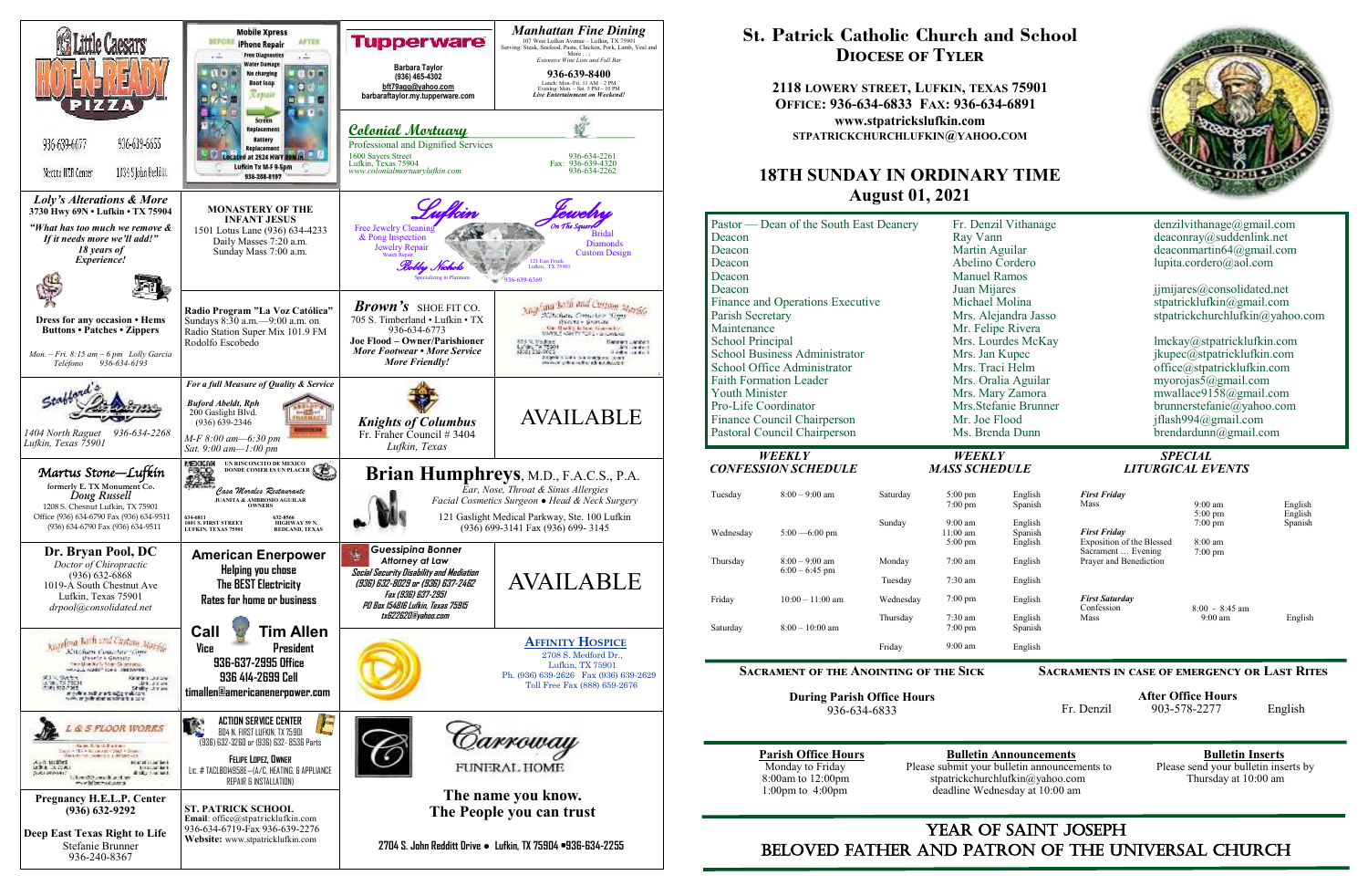

## YEAR OF SAINT JOSEPH beloved father AND Patron of the Universal Church

# **St. Patrick Catholic Church and School Diocese of Tyler**

**2118 LOWERY STREET, LUFKIN, TEXAS 75901 OFFICE: 936-634-6833 FAX: 936-634-6891 www.stpatrickslufkin.com STPATRICKCHURCHLUFKIN@YAHOO.COM**

## **18TH SUNDAY IN ORDINARY TIME August 01, 2021**

| Pastor — Dean of the South East Deanery<br>Deacon<br>Deacon<br>Deacon<br>Deacon<br>Deacon<br>Finance and Operations Executive<br>Parish Secretary<br>Maintenance<br><b>School Principal</b><br><b>School Business Administrator</b><br>School Office Administrator<br><b>Faith Formation Leader</b><br><b>Youth Minister</b><br>Pro-Life Coordinator<br>Finance Council Chairperson<br>Pastoral Council Chairperson |                                      |                  | Fr. Denzil Vithanage<br>Ray Vann<br>Martin Aguilar<br>Abelino Cordero<br><b>Manuel Ramos</b><br>Juan Mijares<br>Michael Molina<br>Mrs. Alejandra Jasso<br>Mr. Felipe Rivera<br>Mrs. Lourdes McKay<br>Mrs. Jan Kupec<br>Mrs. Traci Helm<br>Mrs. Oralia Aguilar<br>Mrs. Mary Zamora<br>Mrs.Stefanie Brunner<br>Mr. Joe Flood<br>Ms. Brenda Dunn |                                          | denzilvithanage@gmail.com<br>deaconray@suddenlink.net<br>deaconmartin64@gmail.com<br>lupita.cordero@aol.com<br>jjmijares@consolidated.net<br>stpatricklufkin@gmail.com<br>stpatrickchurchlufkin@yahoo.com<br>lmckay@stpatricklufkin.com<br>jkupec@stpatricklufkin.com<br>office@stpatricklufkin.com<br>myorojas5@gmail.com<br>mwallace9158@gmail.com<br>brunnerstefanie@yahoo.com<br>jflash994@gmail.com<br>brendardunn@gmail.com |                                 |                    |
|---------------------------------------------------------------------------------------------------------------------------------------------------------------------------------------------------------------------------------------------------------------------------------------------------------------------------------------------------------------------------------------------------------------------|--------------------------------------|------------------|-----------------------------------------------------------------------------------------------------------------------------------------------------------------------------------------------------------------------------------------------------------------------------------------------------------------------------------------------|------------------------------------------|-----------------------------------------------------------------------------------------------------------------------------------------------------------------------------------------------------------------------------------------------------------------------------------------------------------------------------------------------------------------------------------------------------------------------------------|---------------------------------|--------------------|
|                                                                                                                                                                                                                                                                                                                                                                                                                     |                                      |                  |                                                                                                                                                                                                                                                                                                                                               |                                          |                                                                                                                                                                                                                                                                                                                                                                                                                                   |                                 |                    |
| Tuesday                                                                                                                                                                                                                                                                                                                                                                                                             | $8:00 - 9:00$ am                     | Saturday         | $5:00$ pm<br>$7:00$ pm                                                                                                                                                                                                                                                                                                                        | English<br>Spanish                       | <b>First Friday</b><br>Mass                                                                                                                                                                                                                                                                                                                                                                                                       | $9:00 \text{ am}$<br>$5:00$ pm  | English<br>English |
| Wednesday<br>Thursday                                                                                                                                                                                                                                                                                                                                                                                               | $5:00 - 6:00$ pm<br>$8:00 - 9:00$ am | Sunday<br>Monday | $9:00 \text{ am}$<br>$11:00$ am<br>$5:00 \text{ pm}$<br>$7:00$ am                                                                                                                                                                                                                                                                             | English<br>Spanish<br>English<br>English | <b>First Friday</b><br>Exposition of the Blessed<br>Sacrament  Evening<br>Prayer and Benediction                                                                                                                                                                                                                                                                                                                                  | $7:00$ pm<br>8:00 am<br>7:00 pm | Spanish            |
|                                                                                                                                                                                                                                                                                                                                                                                                                     | $6:00 - 6:45$ pm                     | Tuesday          | $7:30$ am                                                                                                                                                                                                                                                                                                                                     | English                                  |                                                                                                                                                                                                                                                                                                                                                                                                                                   |                                 |                    |
| Friday                                                                                                                                                                                                                                                                                                                                                                                                              | $10:00 - 11:00$ am                   | Wednesday        | $7:00 \text{ pm}$                                                                                                                                                                                                                                                                                                                             | English                                  | <b>First Saturday</b><br>Confession                                                                                                                                                                                                                                                                                                                                                                                               | $8:00 - 8:45$ am                |                    |
| Saturday                                                                                                                                                                                                                                                                                                                                                                                                            | $8:00-10:00$ am                      | Thursday         | 7:30 am<br>$7:00$ pm                                                                                                                                                                                                                                                                                                                          | English<br>Spanish                       | Mass                                                                                                                                                                                                                                                                                                                                                                                                                              | $9:00 \text{ am}$               | English            |
|                                                                                                                                                                                                                                                                                                                                                                                                                     |                                      | Friday           | $9:00$ am                                                                                                                                                                                                                                                                                                                                     | English                                  |                                                                                                                                                                                                                                                                                                                                                                                                                                   |                                 |                    |
| <b>SACRAMENT OF THE ANOINTING OF THE SICK</b><br><b>SACRAMENTS IN CASE OF EMERGENCY OR LAST RITES</b>                                                                                                                                                                                                                                                                                                               |                                      |                  |                                                                                                                                                                                                                                                                                                                                               |                                          |                                                                                                                                                                                                                                                                                                                                                                                                                                   |                                 |                    |

**During Parish Office Hours**  936-634-6833

**Parish Office Hours**<br>Monday to Friday **Please submit your bulletin announcements** to Please send your bulletin inserts by Monday to Friday Please submit your bulletin announcements to 8:00am to 12:00pm stratrickchurchlufkin@yahoo.com 8:00am to 12:00pm stpatrickchurchlufkin@yahoo.com Thursday at 10:00 am 1:00pm to 4:00pm deadline Wednesday at 10:00 am deadline Wednesday at 10:00 am



|    | denzilvithanage@gmail.com<br>deaconray @suddenlink.net<br>deaconmartin64@gmail.com<br>lupita.cordero@aol.com |
|----|--------------------------------------------------------------------------------------------------------------|
|    | ijmijares@consolidated.net                                                                                   |
|    | stpatricklufkin@gmail.com                                                                                    |
|    | stpatrickchurchlufkin@yahoo.com                                                                              |
|    | lmckay@stpatricklufkin.com                                                                                   |
|    | jkupec@stpatricklufkin.com                                                                                   |
|    | office@stpatricklufkin.com                                                                                   |
|    | myorojas $5$ @gmail.com                                                                                      |
|    | mwallace9158@gmail.com                                                                                       |
| r. | brunnerstefanie@yahoo.com                                                                                    |
|    | jflash994@gmail.com                                                                                          |
|    | $b$ rendardunn@gmail.com                                                                                     |

### **Sacraments in case of emergency or Last Rites**

 **After Office Hours**  Fr. Denzil 903-578-2277 English

# *CONFESSION SCHEDULE MASS SCHEDULE LITURGICAL EVENTS*

| English            | <b>First Friday</b>              |                   |         |
|--------------------|----------------------------------|-------------------|---------|
| Spanish            | Mass                             | $9:00 \text{ am}$ | English |
|                    |                                  | $5:00 \text{ pm}$ | English |
| English            |                                  | $7:00 \text{ pm}$ | Spanish |
| Spanish            | <b>First Friday</b>              |                   |         |
| English            | <b>Exposition of the Blessed</b> | $8:00 \text{ am}$ |         |
|                    | Sacrament  Evening               | $7:00 \text{ pm}$ |         |
| English            | Prayer and Benediction           |                   |         |
| English            |                                  |                   |         |
| English            | <b>First Saturday</b>            |                   |         |
|                    | Confession<br>Mass               | $8:00 - 8:45$ am  |         |
| English<br>Spanish |                                  | $9:00 \text{ am}$ | English |
| English            |                                  |                   |         |